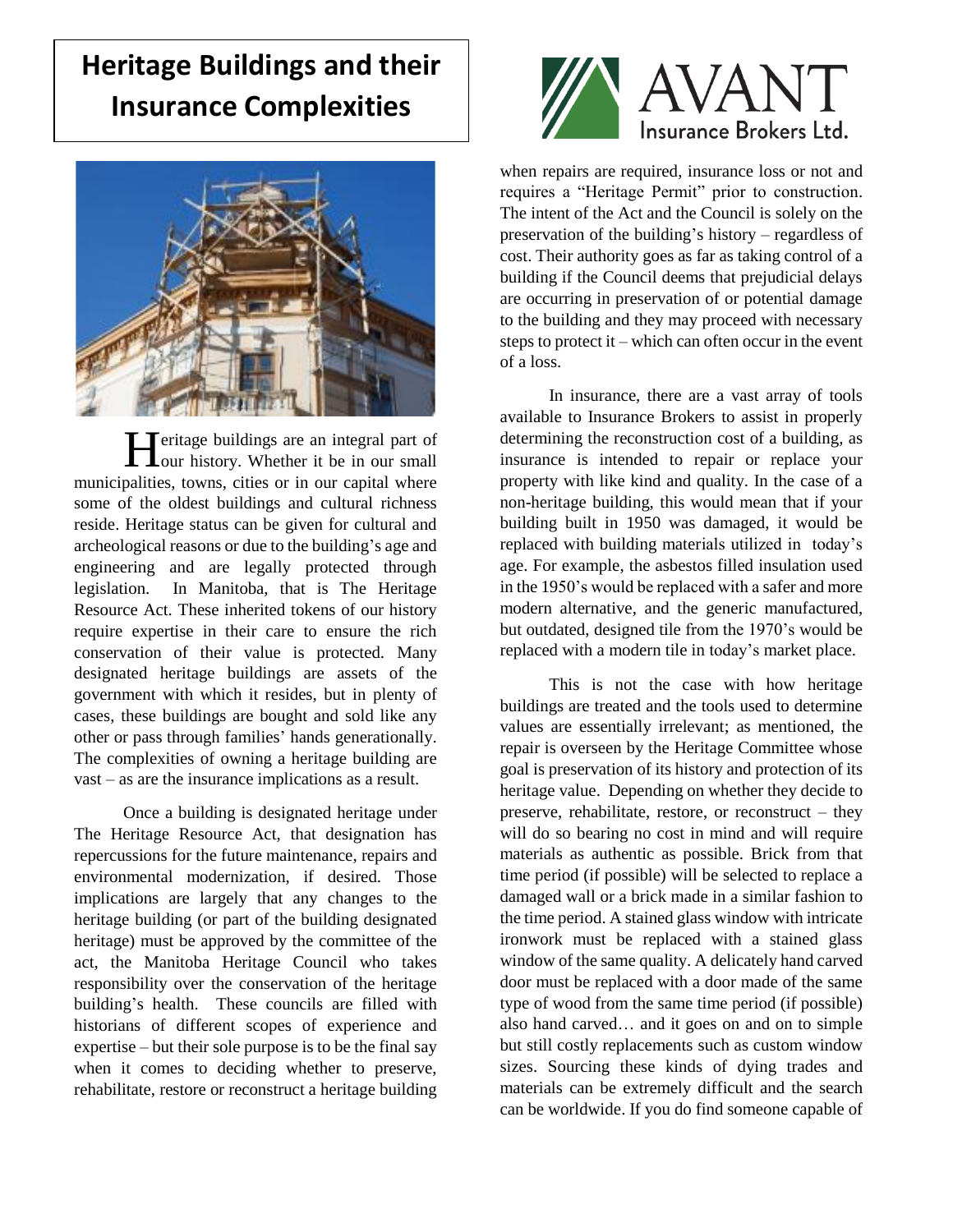## **Heritage Buildings and their Insurance Complexities**



**T**eritage buildings are an integral part of **H**eritage buildings are an integral part of our history. Whether it be in our small municipalities, towns, cities or in our capital where some of the oldest buildings and cultural richness reside. Heritage status can be given for cultural and archeological reasons or due to the building's age and engineering and are legally protected through legislation. In Manitoba, that is The Heritage Resource Act. These inherited tokens of our history require expertise in their care to ensure the rich conservation of their value is protected. Many designated heritage buildings are assets of the government with which it resides, but in plenty of cases, these buildings are bought and sold like any other or pass through families' hands generationally. The complexities of owning a heritage building are vast – as are the insurance implications as a result.

Once a building is designated heritage under The Heritage Resource Act, that designation has repercussions for the future maintenance, repairs and environmental modernization, if desired. Those implications are largely that any changes to the heritage building (or part of the building designated heritage) must be approved by the committee of the act, the Manitoba Heritage Council who takes responsibility over the conservation of the heritage building's health. These councils are filled with historians of different scopes of experience and expertise – but their sole purpose is to be the final say when it comes to deciding whether to preserve, rehabilitate, restore or reconstruct a heritage building



when repairs are required, insurance loss or not and requires a "Heritage Permit" prior to construction. The intent of the Act and the Council is solely on the preservation of the building's history – regardless of cost. Their authority goes as far as taking control of a building if the Council deems that prejudicial delays are occurring in preservation of or potential damage to the building and they may proceed with necessary steps to protect it – which can often occur in the event of a loss.

In insurance, there are a vast array of tools available to Insurance Brokers to assist in properly determining the reconstruction cost of a building, as insurance is intended to repair or replace your property with like kind and quality. In the case of a non-heritage building, this would mean that if your building built in 1950 was damaged, it would be replaced with building materials utilized in today's age. For example, the asbestos filled insulation used in the 1950's would be replaced with a safer and more modern alternative, and the generic manufactured, but outdated, designed tile from the 1970's would be replaced with a modern tile in today's market place.

This is not the case with how heritage buildings are treated and the tools used to determine values are essentially irrelevant; as mentioned, the repair is overseen by the Heritage Committee whose goal is preservation of its history and protection of its heritage value. Depending on whether they decide to preserve, rehabilitate, restore, or reconstruct – they will do so bearing no cost in mind and will require materials as authentic as possible. Brick from that time period (if possible) will be selected to replace a damaged wall or a brick made in a similar fashion to the time period. A stained glass window with intricate ironwork must be replaced with a stained glass window of the same quality. A delicately hand carved door must be replaced with a door made of the same type of wood from the same time period (if possible) also hand carved… and it goes on and on to simple but still costly replacements such as custom window sizes. Sourcing these kinds of dying trades and materials can be extremely difficult and the search can be worldwide. If you do find someone capable of